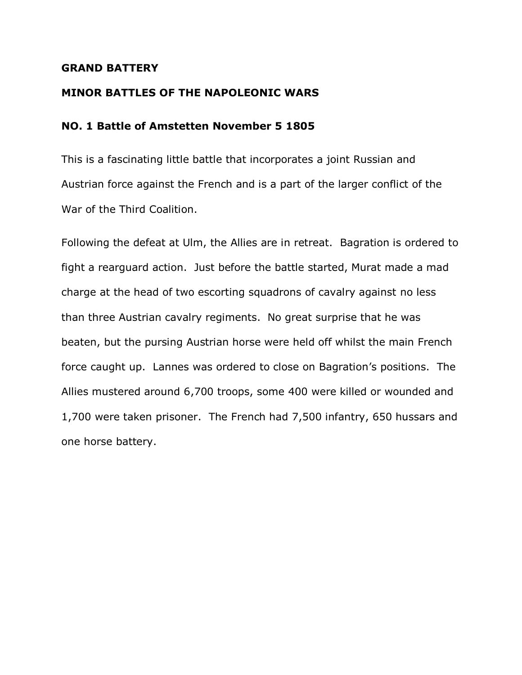#### **GRAND BATTERY**

#### **MINOR BATTLES OF THE NAPOLEONIC WARS**

### **NO. 1 Battle of Amstetten November 5 1805**

This is a fascinating little battle that incorporates a joint Russian and Austrian force against the French and is a part of the larger conflict of the War of the Third Coalition.

Following the defeat at Ulm, the Allies are in retreat. Bagration is ordered to fight a rearguard action. Just before the battle started, Murat made a mad charge at the head of two escorting squadrons of cavalry against no less than three Austrian cavalry regiments. No great surprise that he was beaten, but the pursing Austrian horse were held off whilst the main French force caught up. Lannes was ordered to close on Bagration's positions. The Allies mustered around 6,700 troops, some 400 were killed or wounded and 1,700 were taken prisoner. The French had 7,500 infantry, 650 hussars and one horse battery.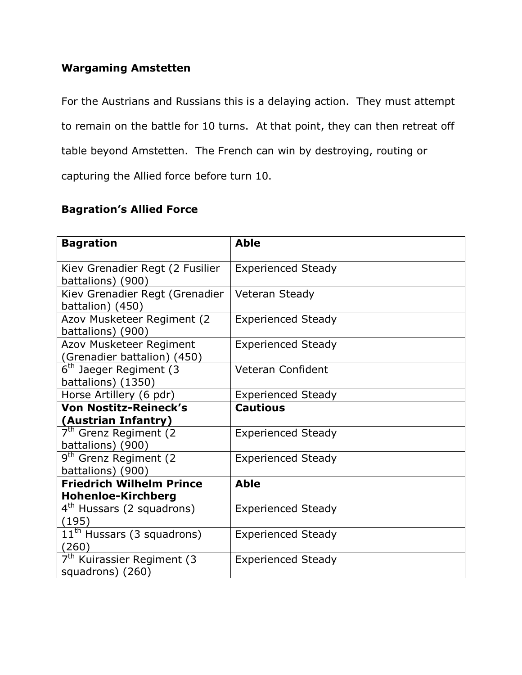### **Wargaming Amstetten**

For the Austrians and Russians this is a delaying action. They must attempt to remain on the battle for 10 turns. At that point, they can then retreat off table beyond Amstetten. The French can win by destroying, routing or capturing the Allied force before turn 10.

## **Bagration's Allied Force**

| <b>Bagration</b>                                           | <b>Able</b>               |
|------------------------------------------------------------|---------------------------|
| Kiev Grenadier Regt (2 Fusilier<br>battalions) (900)       | <b>Experienced Steady</b> |
| Kiev Grenadier Regt (Grenadier<br>battalion) (450)         | <b>Veteran Steady</b>     |
| Azov Musketeer Regiment (2<br>battalions) (900)            | <b>Experienced Steady</b> |
| Azov Musketeer Regiment<br>(Grenadier battalion) (450)     | <b>Experienced Steady</b> |
| 6 <sup>th</sup> Jaeger Regiment (3)<br>battalions) (1350)  | <b>Veteran Confident</b>  |
| Horse Artillery (6 pdr)                                    | <b>Experienced Steady</b> |
| <b>Von Nostitz-Reineck's</b>                               | <b>Cautious</b>           |
| (Austrian Infantry)                                        |                           |
| 7 <sup>th</sup> Grenz Regiment (2)<br>battalions) (900)    | <b>Experienced Steady</b> |
| 9 <sup>th</sup> Grenz Regiment (2)<br>battalions) (900)    | <b>Experienced Steady</b> |
| <b>Friedrich Wilhelm Prince</b>                            | <b>Able</b>               |
| <b>Hohenloe-Kirchberg</b>                                  |                           |
| 4 <sup>th</sup> Hussars (2 squadrons)<br>(195)             | <b>Experienced Steady</b> |
| $11th$ Hussars (3 squadrons)<br>(260)                      | <b>Experienced Steady</b> |
| 7 <sup>th</sup> Kuirassier Regiment (3<br>squadrons) (260) | <b>Experienced Steady</b> |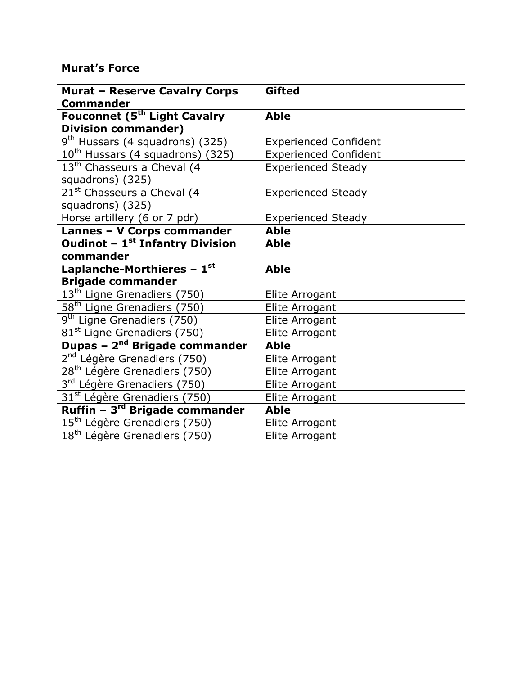# **Murat's Force**

| <b>Murat - Reserve Cavalry Corps</b><br><b>Commander</b> | <b>Gifted</b>                |
|----------------------------------------------------------|------------------------------|
| Fouconnet (5 <sup>th</sup> Light Cavalry                 | <b>Able</b>                  |
| <b>Division commander)</b>                               |                              |
| $9th$ Hussars (4 squadrons) (325)                        | <b>Experienced Confident</b> |
| 10 <sup>th</sup> Hussars (4 squadrons) (325)             | <b>Experienced Confident</b> |
| 13 <sup>th</sup> Chasseurs a Cheval (4                   | <b>Experienced Steady</b>    |
| squadrons) (325)                                         |                              |
| 21 <sup>st</sup> Chasseurs a Cheval (4                   | <b>Experienced Steady</b>    |
| squadrons) (325)                                         |                              |
| Horse artillery (6 or 7 pdr)                             | <b>Experienced Steady</b>    |
| Lannes - V Corps commander                               | <b>Able</b>                  |
| Oudinot - 1 <sup>st</sup> Infantry Division              | <b>Able</b>                  |
| commander                                                |                              |
| Laplanche-Morthieres - $\overline{1^{st}}$               | <b>Able</b>                  |
| <b>Brigade commander</b>                                 |                              |
| 13 <sup>th</sup> Ligne Grenadiers (750)                  | Elite Arrogant               |
| 58 <sup>th</sup> Ligne Grenadiers (750)                  | Elite Arrogant               |
| 9 <sup>th</sup> Ligne Grenadiers (750)                   | Elite Arrogant               |
| 81 <sup>st</sup> Ligne Grenadiers (750)                  | Elite Arrogant               |
| Dupas - 2 <sup>nd</sup> Brigade commander                | <b>Able</b>                  |
| 2 <sup>nd</sup> Légère Grenadiers (750)                  | Elite Arrogant               |
| 28 <sup>th</sup> Légère Grenadiers (750)                 | Elite Arrogant               |
| 3 <sup>rd</sup> Légère Grenadiers (750)                  | Elite Arrogant               |
| 31 <sup>st</sup> Légère Grenadiers (750)                 | Elite Arrogant               |
| Ruffin - 3 <sup>rd</sup> Brigade commander               | <b>Able</b>                  |
| 15 <sup>th</sup> Légère Grenadiers (750)                 | Elite Arrogant               |
| $\overline{18}$ <sup>th</sup> Légère Grenadiers (750)    | Elite Arrogant               |